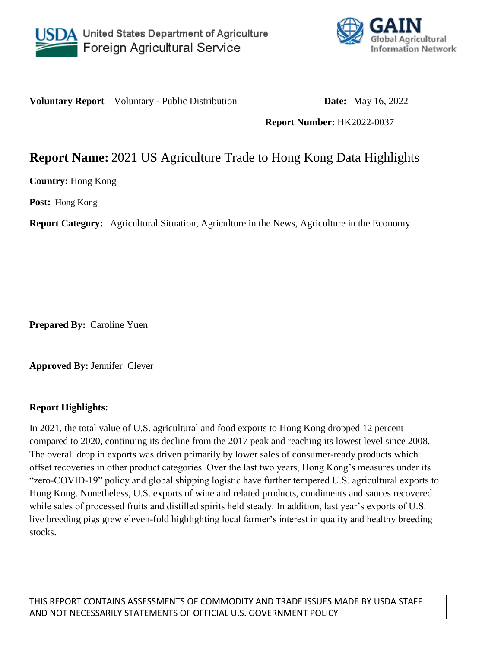



**Voluntary Report –** Voluntary - Public Distribution **Date:** May 16, 2022

**Report Number:** HK2022-0037

## **Report Name:** 2021 US Agriculture Trade to Hong Kong Data Highlights

**Country:** Hong Kong

**Post:** Hong Kong

**Report Category:** Agricultural Situation, Agriculture in the News, Agriculture in the Economy

**Prepared By:** Caroline Yuen

**Approved By:** Jennifer Clever

## **Report Highlights:**

In 2021, the total value of U.S. agricultural and food exports to Hong Kong dropped 12 percent compared to 2020, continuing its decline from the 2017 peak and reaching its lowest level since 2008. The overall drop in exports was driven primarily by lower sales of consumer-ready products which offset recoveries in other product categories. Over the last two years, Hong Kong's measures under its "zero-COVID-19" policy and global shipping logistic have further tempered U.S. agricultural exports to Hong Kong. Nonetheless, U.S. exports of wine and related products, condiments and sauces recovered while sales of processed fruits and distilled spirits held steady. In addition, last year's exports of U.S. live breeding pigs grew eleven-fold highlighting local farmer's interest in quality and healthy breeding stocks.

THIS REPORT CONTAINS ASSESSMENTS OF COMMODITY AND TRADE ISSUES MADE BY USDA STAFF AND NOT NECESSARILY STATEMENTS OF OFFICIAL U.S. GOVERNMENT POLICY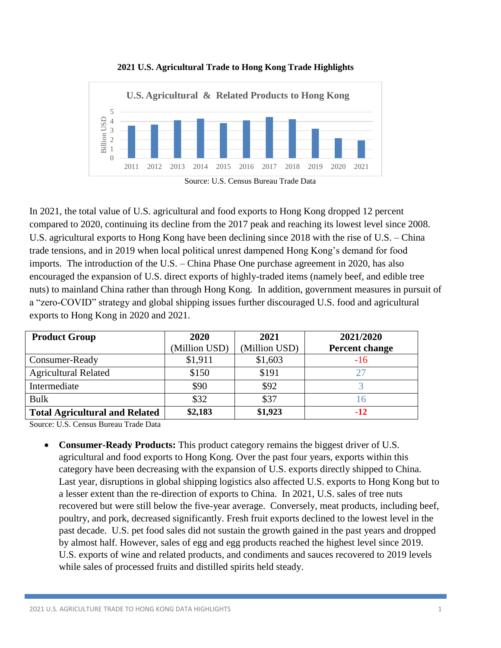

**2021 U.S. Agricultural Trade to Hong Kong Trade Highlights**

In 2021, the total value of U.S. agricultural and food exports to Hong Kong dropped 12 percent compared to 2020, continuing its decline from the 2017 peak and reaching its lowest level since 2008. U.S. agricultural exports to Hong Kong have been declining since 2018 with the rise of U.S. – China trade tensions, and in 2019 when local political unrest dampened Hong Kong's demand for food imports. The introduction of the U.S. – China Phase One purchase agreement in 2020, has also encouraged the expansion of U.S. direct exports of highly-traded items (namely beef, and edible tree nuts) to mainland China rather than through Hong Kong. In addition, government measures in pursuit of a "zero-COVID" strategy and global shipping issues further discouraged U.S. food and agricultural exports to Hong Kong in 2020 and 2021.

| <b>Product Group</b>                  | 2020          | 2021          | 2021/2020      |
|---------------------------------------|---------------|---------------|----------------|
|                                       | (Million USD) | (Million USD) | Percent change |
| Consumer-Ready                        | \$1,911       | \$1,603       | $-16$          |
| <b>Agricultural Related</b>           | \$150         | \$191         |                |
| Intermediate                          | \$90          | \$92          |                |
| <b>Bulk</b>                           | \$32          | \$37          |                |
| <b>Total Agricultural and Related</b> | \$2,183       | \$1,923       | $-12$          |

Source: U.S. Census Bureau Trade Data

 **Consumer-Ready Products:** This product category remains the biggest driver of U.S. agricultural and food exports to Hong Kong. Over the past four years, exports within this category have been decreasing with the expansion of U.S. exports directly shipped to China. Last year, disruptions in global shipping logistics also affected U.S. exports to Hong Kong but to a lesser extent than the re-direction of exports to China. In 2021, U.S. sales of tree nuts recovered but were still below the five-year average. Conversely, meat products, including beef, poultry, and pork, decreased significantly. Fresh fruit exports declined to the lowest level in the past decade. U.S. pet food sales did not sustain the growth gained in the past years and dropped by almost half. However, sales of egg and egg products reached the highest level since 2019. U.S. exports of wine and related products, and condiments and sauces recovered to 2019 levels while sales of processed fruits and distilled spirits held steady.